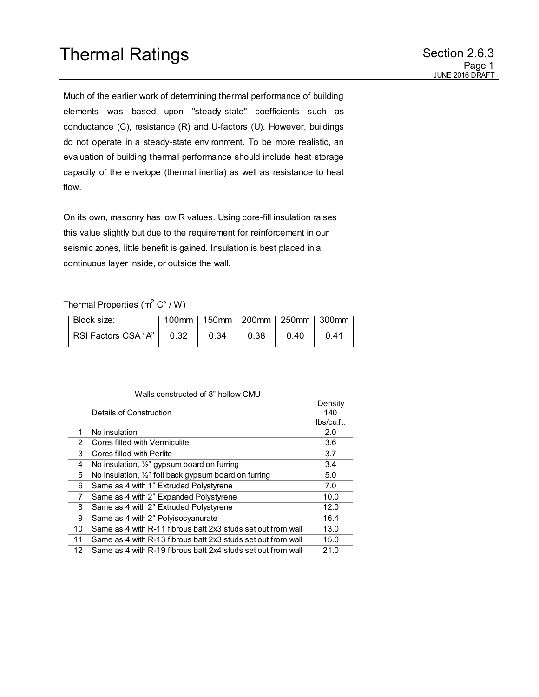Much of the earlier work of determining thermal performance of building elements was based upon "steady-state" coefficients such as conductance (C), resistance (R) and U-factors (U). However, buildings do not operate in a steady-state environment. To be more realistic, an evaluation of building thermal performance should include heat storage capacity of the envelope (thermal inertia) as well as resistance to heat flow.

On its own, masonry has low R values. Using core-fill insulation raises this value slightly but due to the requirement for reinforcement in our seismic zones, little benefit is gained. Insulation is best placed in a continuous layer inside, or outside the wall.

## Thermal Properties (m<sup>2</sup> C° / W)

| Block size:         |      |      |      |      | 100mm   150mm   200mm   250mm   300mm |
|---------------------|------|------|------|------|---------------------------------------|
| RSI Factors CSA "A" | 0.32 | 0.34 | 0.38 | 0.40 | 0.41                                  |

| Walls constructed of 8" hollow CMU |                                                              |            |  |  |
|------------------------------------|--------------------------------------------------------------|------------|--|--|
|                                    |                                                              | Density    |  |  |
| Details of Construction            |                                                              | 140        |  |  |
|                                    |                                                              | lbs/cu.ft. |  |  |
| 1                                  | No insulation                                                | 2.0        |  |  |
| 2                                  | Cores filled with Vermiculite                                | 3.6        |  |  |
| 3                                  | Cores filled with Perlite                                    | 3.7        |  |  |
| 4                                  | No insulation, 1/2" gypsum board on furring                  | 3.4        |  |  |
| 5                                  | No insulation, 1/2" foil back gypsum board on furring        | 5.0        |  |  |
| 6                                  | Same as 4 with 1" Extruded Polystyrene                       | 7.0        |  |  |
| 7                                  | Same as 4 with 2" Expanded Polystyrene                       | 10.0       |  |  |
| 8                                  | Same as 4 with 2" Extruded Polystyrene                       | 12.0       |  |  |
| 9                                  | Same as 4 with 2" Polyisocyanurate                           | 16.4       |  |  |
| 10                                 | Same as 4 with R-11 fibrous batt 2x3 studs set out from wall | 13.0       |  |  |
| 11                                 | Same as 4 with R-13 fibrous batt 2x3 studs set out from wall | 15.0       |  |  |
| 12                                 | Same as 4 with R-19 fibrous batt 2x4 studs set out from wall | 21.0       |  |  |
|                                    |                                                              |            |  |  |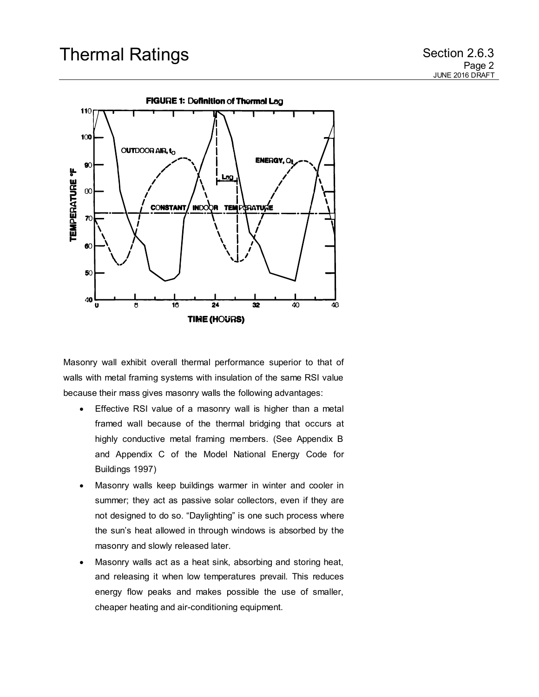

Masonry wall exhibit overall thermal performance superior to that of walls with metal framing systems with insulation of the same RSI value because their mass gives masonry walls the following advantages:

- Effective RSI value of a masonry wall is higher than a metal framed wall because of the thermal bridging that occurs at highly conductive metal framing members. (See Appendix B and Appendix C of the Model National Energy Code for Buildings 1997)
- Masonry walls keep buildings warmer in winter and cooler in summer; they act as passive solar collectors, even if they are not designed to do so. "Daylighting" is one such process where the sun's heat allowed in through windows is absorbed by the masonry and slowly released later.
- Masonry walls act as a heat sink, absorbing and storing heat, and releasing it when low temperatures prevail. This reduces energy flow peaks and makes possible the use of smaller, cheaper heating and air-conditioning equipment.